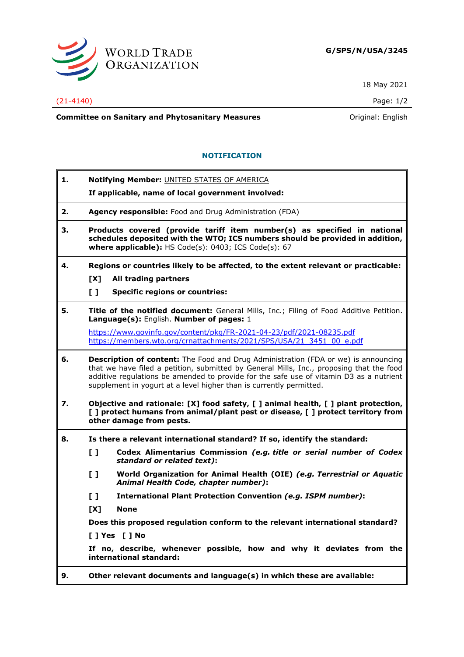

18 May 2021

(21-4140) Page: 1/2

**Committee on Sanitary and Phytosanitary Measures Committee on Sanitary and Phytosanitary Measures Committee And American** 

## **NOTIFICATION**

**1. Notifying Member:** UNITED STATES OF AMERICA

**If applicable, name of local government involved:**

- **2. Agency responsible:** Food and Drug Administration (FDA)
- **3. Products covered (provide tariff item number(s) as specified in national schedules deposited with the WTO; ICS numbers should be provided in addition, where applicable):** HS Code(s): 0403; ICS Code(s): 67
- **4. Regions or countries likely to be affected, to the extent relevant or practicable:**
	- **[X] All trading partners**
	- **[ ] Specific regions or countries:**
- **5. Title of the notified document:** General Mills, Inc.; Filing of Food Additive Petition. **Language(s):** English. **Number of pages:** 1

<https://www.govinfo.gov/content/pkg/FR-2021-04-23/pdf/2021-08235.pdf> [https://members.wto.org/crnattachments/2021/SPS/USA/21\\_3451\\_00\\_e.pdf](https://members.wto.org/crnattachments/2021/SPS/USA/21_3451_00_e.pdf)

- **6. Description of content:** The Food and Drug Administration (FDA or we) is announcing that we have filed a petition, submitted by General Mills, Inc., proposing that the food additive regulations be amended to provide for the safe use of vitamin D3 as a nutrient supplement in yogurt at a level higher than is currently permitted.
- **7. Objective and rationale: [X] food safety, [ ] animal health, [ ] plant protection, [ ] protect humans from animal/plant pest or disease, [ ] protect territory from other damage from pests.**
- **8. Is there a relevant international standard? If so, identify the standard:**
	- **[ ] Codex Alimentarius Commission** *(e.g. title or serial number of Codex standard or related text)***:**
	- **[ ] World Organization for Animal Health (OIE)** *(e.g. Terrestrial or Aquatic Animal Health Code, chapter number)***:**
	- **[ ] International Plant Protection Convention** *(e.g. ISPM number)***:**
	- **[X] None**

**Does this proposed regulation conform to the relevant international standard?** 

**[ ] Yes [ ] No**

**If no, describe, whenever possible, how and why it deviates from the international standard:**

**9. Other relevant documents and language(s) in which these are available:**